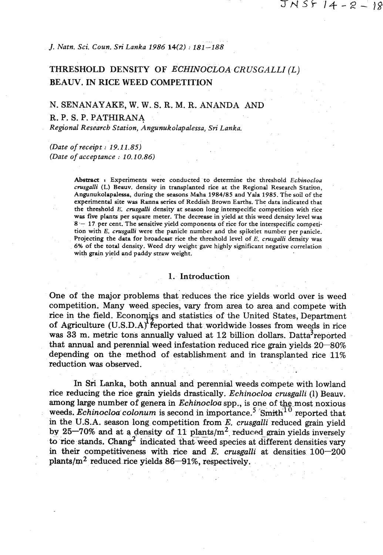*J. Natn. Sci Coun. Sri Lanka 1986* **14(2)** : *181 -188* 

# THRESHOLD DENSITY OF *ECHINOCLOA CRUSGALLI* (L) BEAW. IN RICE WEED COMPETITION

## N. SENANAYAKE, W. W. S. R. M. R. ANANDA AND R. P. S. P. PATHIRANA *Regional Research Station, Angunukolapalessa,* **Sri** *Lanka.*

*(Date of receipt* : *19.11.85) (Date of acceptance* : *10.10.86)* 

> Abstract **r** Experiments were conducted to determine the threshold *Echinocloa crusgaNi* **(L)** Beauv. density in transplanted rice at the Regional Research Statinn, Angunukolapalessa, during the seasons Maha **1984185** and Yale **1985.** Thesoil of the experimental site ws Ranna series of Reddish Brown Earths. The data indicated that the threshold E. *crusgalli* density at season long interspecific competition with rice was five plants per square meter. The decrease in yield at this weed density level was 8 - **17** per cent. The sensitive yield components of rice for the interspecific competition with E. *cnrsgalli* were the panicle number and the spikelet number per panicle. Projecting the data for broadcast rice the threshold level of E. *cnrsgalli* density was *6%* of the total density. Weed dry weight gave highly significant negative correlation with grain yield and paddy straw weight.

### **1. Introduction**

One of the major problems that reduces the rice yields world over is weed competition. Many weed species, vary from area to area and compete with rice in the field. Economics and statistics of the United States, Department competition. Many weed species, vary from area to area and compete with<br>rice in the field. Economics and statistics of the United States, Department<br>of Agriculture (U.S.D.A) reported that worldwide losses from weeds in ric was 33 m. metric tons annually valued at 12 billion dollars. Datta<sup>3</sup>reported that **annual** and perennial weed infestation reduced rice grain yields **20-80%**  depending on the method of establishment and in transplanted rice **11%**  reduction was observed.

In Sri Lanka, both annual and perennial weeds compete with lowland rice reducing the rice grain yields drastically. *Echinocloa crusgalli* (1) Beauv. among large number of genera in *Echinocloa* spp., is one of the most noxious weeds. *Echinocloa colonum* is second in importance.<sup>5</sup> Smith<sup>10</sup> reported that in the U.S.A. season long competition from *E. crusgalli* reduced grain yield by  $25-70\%$  and at a density of 11 plants/m<sup>2</sup> reduced grain yields inversely to rice stands. Chang<sup>2</sup> indicated that weed species at different densities vary in their competitiveness with rice and  $E$ . crusgalli at densities  $100-200$  $plants/m<sup>2</sup>$  reduced rice yields  $86-91\%$ , respectively.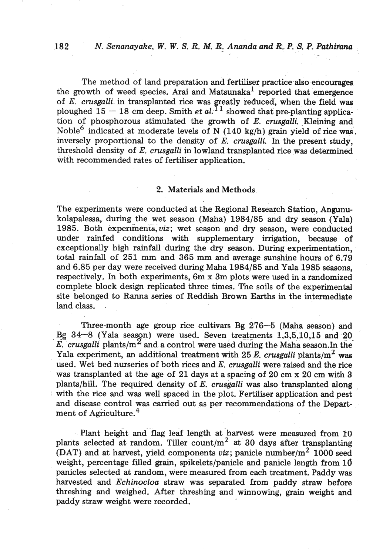## **182** *N. Senanayake, W. W. S.* **R. M.** *R.* - *Ananda* **and** *R. P.* **S. P.** *Pathimna*

The method of land preparation and fertiliser practice also encourages the growth of weed species. Arai and Matsunaka<sup>1</sup> reported that emergence of E. *crusgalli* in transplanted rice was greatly reduced, when the field was ploughed  $15 - 18$  cm deep. Smith *et al.*<sup>11</sup> showed that pre-planting application of phosphorous stimulated the growth of *E. crusgalli.* .Kleining and Noble<sup>6</sup> indicated at moderate levels of N (140 kg/h) grain yield of rice was. inversely proportional to the density of E. *crusgalli.* In the present study, threshold density of E. *crusgalli* in lowland transplanted rice was determined with recommended rates of fertiliser application.

## 2. Materials **and** Methods

The experiments were conducted at the Regional Research Station, Angunukolapalessa, during the wet season (Maha) 1984/85 and dry season (Yala) 1985. Both experiments, *viz*; wet season and dry season, were conducted under rainfed conditions with supplementary irrigation, because of exceptionally high rainfall during the dry season. During experimentation, total rainfall of 251 mm and 365 **ram** and average sunshine hours of 6.79 and 6.85 per day were received during Maha 1984/85 and Yala 1985 seasons, respectively. In both experiments, 6m x 3m plots were used in a randomized complete block design replicated three times. The soils of the experimental site belonged to Ranna series of Reddish Brown Earths in the intermediate land class. .

Three-month age group rice cultivars Bg 276-5 (Maha season) and Bg  $34-8$  (Yala season) were used. Seven treatments  $1,3,5,10,15$  and  $20$  $\overline{E}$  crusgalli plants/m<sup>2</sup> and a control were used during the Maha season.In the Yala experiment, an additional treatment with  $25 E$ , *crusgalli* plants/m<sup>2</sup> was used. Wet bed nurseries of both rices and E. *crusgalli* were raised and the rice was transplanted at the age of 21 days at a spacing of 20 cm **x** 20 cm with 3 plants/hill. The required density of *E. crusgalli* was also transplanted along , with the rice and was well spaced in the plot. Fertiliser application and pest and disease control was carried out as per recommendations of the Department of Agriculture.<sup>4</sup>

Plant height and flag leaf length at harvest were measured from 10 plants selected at random. Tiller count/ $m<sup>2</sup>$  at 30 days after transplanting (DAT) and at harvest, yield components *viz*; panicle number/ $m^2$  1000 seed weight, percentage filled grain, spikelets/panicle and panicle length from 10 panicles selected at random, were measured from each treatment. Paddy was harvested and *Echinocloa* straw was separated from paddy straw before threshing and weighed. After threshing and winnowing, grain weight and paddy straw weight were recorded.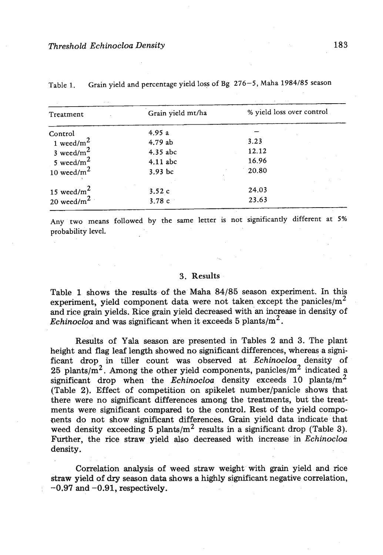| Treatment      | Grain yield mt/ha | % yield loss over control |  |
|----------------|-------------------|---------------------------|--|
| Control        | 4.95a             |                           |  |
| 1 weed/ $m^2$  | 4.79 ab           | 3.23                      |  |
| 3 weed/ $m^2$  | 4.35 abc          | 12.12                     |  |
| 5 weed/ $m^2$  | 4.11 abc          | 16.96                     |  |
| 10 weed/ $m2$  | $3.93$ bc         | 20.80                     |  |
|                |                   |                           |  |
| 15 weed/ $m^2$ | 3.52c             | 24.03                     |  |
| 20 weed/ $m^2$ | 3.78c             | 23.63                     |  |
|                |                   |                           |  |

**Table 1. Grain yield and percentage yield loss of Bg 276-5, Maha 1984185 season** 

**Any two means followed by the same lerter is not significantly different at 5% probability level.** 

### **3. Results**

Table 1 shows the results of the Maha 84/85 season experiment. In this experiment, yield component data were not taken except the panicles/ $m^2$ and rice **grain** yields. Rice **grain** yield decreased with'an increase in density of *Echinocloa* and was significant when it exceeds 5 plants/ $m^2$ .

Results of Yala season are presented in Tables 2 and 3. The plant height and flag leaf length showed no significant differences, whereas a significant drop in tiller count was observed at Echinocloa density of 25 plants/ $m^2$ . Among the other yield components, panicles/ $m^2$  indicated a significant drop when the *Echinocloa* density exceeds 10 plants/ $m^2$ (Table **2).** Effect of competition on spikelet number/panicle shows that there were no significant differences among the treatments, but the treatments were significant compared to the control. Rest of the yield compopents do not show significant differences. Grain yield data indicate that weed density exceeding 5 plants/ $m^2$  results in a significant drop (Table 3). Further, the rice straw yield also decreased with increase in Echinocloa density.

Correlation analysis of weed straw weight with grain yield and rice straw yield of dry season **data** shows a highly significant negative correlation,  $-0.97$  and  $-0.91$ , respectively.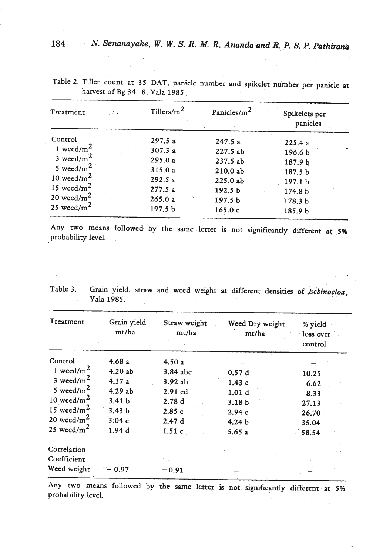| Treatment<br>- 5 4 | Tillers/ $m^2$     | Panicles/m <sup>2</sup> | Spikelets per<br>panicles |
|--------------------|--------------------|-------------------------|---------------------------|
| Control            | 297.5a             | 247.5a                  | 225.4a                    |
| 1 weed/ $m^2$      | 307.3a             | 227.5ab                 | 196.6 b                   |
| 3 weed/ $m^2$      | 295.0a             | 237.5ab                 | 187.9 b                   |
| 5 weed/ $m^2$      | 315.0a             | 210.0ab                 | $-187.5b$                 |
| 10 weed/ $m^2$     | 292.5a             | 225.0ab                 | 197.1 <sub>b</sub>        |
| 15 weed/ $m^2$     | 277.5a             | 192.5 <sub>b</sub>      | 174.8 b                   |
| 20 weed/ $m^2$     | 265.0a             | 197.5 <sub>b</sub>      | 178.3 <sub>b</sub>        |
| 25 weed/ $m^2$     | 197.5 <sub>b</sub> | 165.0c                  | 185.9 b                   |

Table 2. Tiller count at 35 DAT, panicle number and spikelet number per panicle at harvest of Bg 34-8, Yala 1985

Any two means followed by the same letter is not significantly different at 5% probability level.

| Treatment      | Grain yield<br>mt/ha | Straw weight<br>mt/ha | Weed Dry weight<br>mt/ha | % yield<br>loss over<br>control |
|----------------|----------------------|-----------------------|--------------------------|---------------------------------|
| Control        | 4.68a                | 4.50a                 |                          |                                 |
| 1 weed/ $m2$   | 4.20ab               | 3.84 abc              | 0.57d                    | 10.25                           |
| 3 weed/ $m2$   | 4.37a                | 3.92ab                | 1.43c                    | 6.62                            |
| 5 weed/ $m^2$  | 4.29ab               | $2.91$ cd             | 1.01 <sub>d</sub>        | 8.33                            |
| 10 weed/ $m^2$ | 3.41 <sub>b</sub>    | 2.78d                 | 3.18 <sub>b</sub>        | 27.13                           |
| 15 weed/ $m2$  | 3.43 <sub>b</sub>    | 2.85c                 | 2.94c                    | 26.70                           |
| 20 weed/ $m^2$ | 3.04c                | 2.47d                 | 4.24 <sub>b</sub>        | 35.04                           |
| 25 weed/ $m^2$ | 1.94d                | 1.51c                 | 5.65a                    | 58.54                           |
| Correlation    |                      |                       |                          |                                 |
| Coefficient    |                      |                       |                          |                                 |
| Weed weight    | 0.97                 | $-0.91$               |                          |                                 |

Table 3. Grain yield, straw and weed weight at different densities of *Echinocloa*, Yala 1985.

Any two means followed by the same letter is not significantly different at 5% probability level.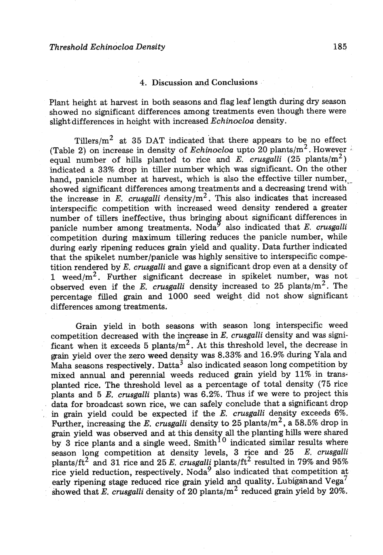## 4. Discussion **and** Conclusions

Plant height at harvest in both seasons and flag leaf length during dry season showed no significant differences among treatments even though there were slight differences in height with increased *Echinocloa* density.

Tillers/ $m<sup>2</sup>$  at 35 DAT indicated that there appears to be no effect (Table 2) on increase in density of *Echinocloa* upto 20 plants/ $m^2$ . However equal number of hills planted to rice and  $E$ . *crusgalli* (25 plants/m<sup>2</sup>) indicated a 33% drop in tiller number which was significant. On the other hand, panicle number at harvest, which is also the effective tiller number, showed significant differences among treatments and a decreasing trend with the increase in E. *crusgalli* density/m2. This also indicates that increased interspecific competition with increased weed density rendered a greater number of tillers ineffective, thus bringing about significant differences in panicle number among treatments. Noda<sup>9</sup> also indicated that  $E$ . crusgalli competition during maximum tillering reduces the panicle number, while during early ripening reduces grain yield and quality. Data further indicated that the spikelet number/panicle was highly sensitive to interspecific competition rendered by E. *crusgalli* and gave a significant drop even at a density of 1 weed/m2. Further significant decrease in spikelet number, was not observed even if the *E. crusgalli* density increased to 25 plants/m2. The percentage filled **grain** and 1000 seed weight. did not show significant differences among treatments.

Grain yield in both seasons with season long interspecific weed competition decreased with the increase in *E. crusgalli* density and was significant when it exceeds 5 plants/ $m^2$ . At this threshold level, the decrease in **grain** yield over the **zero** weed density was 8.33% and 16.9% during Yala and Maha seasons respectively. Datta<sup>3</sup> also indicated season long competition by mixed annual and perennial weeds reduced grain yield by 11% in transplanted rice. The threshold level **as** a percentage of total density (75 rice plants and 5 E. *crusgalli* plants) was 6.2%. Thus if we were to project this data for broadcast sown rice, we can safely conclude that a significant drop , in **grain** yield could be expected if the **8.** *crusgalli* density exceeds *6%.*  Fwther, increasing the *E. crusgalli* density to 25 plants/m2, a 58.5% drop in grain yield was observed and at this density all the planting hills were shared by  $3$  rice plants and a single weed. Smith  $10^{\circ}$  indicated similar results where season long competition at density levels.  $3$  rice and season long competition at density levels, 3 rice and 25 plants/ft2 and 31 rice and 25 E. *crusgalli* plants/ft2 resulted in 79% and 95% rice yield reduction, respectively. Noda<sup>9</sup> also indicated that competition at early ripening stage reduced rice grain yield and quality. Lubigan and Vega<sup>7</sup> showed that E. *crusgalli* density of 20 plants/m<sup>2</sup> reduced grain yield by 20%.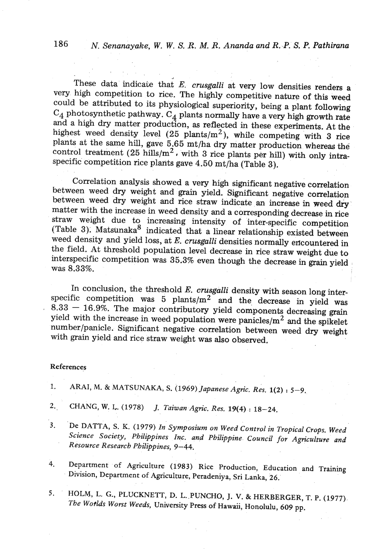These data indicaie that *E. crusgalli* at very low densities renders a very high competition to rice. The highly competitive nature of this weed could be attributed to its physiological superiority, being a plant following **C4** photosynthetic pathway. **C4** plants normally have a very high growth rate and a high dry matter production, as reflected in these experiments. At the highest weed density level **(25** plants/m2), while competing with **3** rice plants at the same hill, gave **5.65** mt/ha dry matter production whereas the control treatment (25 hills/m<sup>2</sup>, with 3 rice plants per hill) with only intraspecific competition rice plants gave 4.50 mt/ha (Table **3).** 

Correlation analysis showed a very high significant negative correlation between weed dry weight and grain yield. Significant negative correlation between weed dry weight and rice straw indicate an increase in weed dry matter with the increase in weed density and a corresponding decrease in rice straw weight due to increasing intensity of inter-specific competition (Table 3). Matsunaka<sup>8</sup> indicated that a linear relationship existed between weed density and yield loss, at E. *crusgalli* densities normally encountered in the field. At threshold population level decrease in rice straw weight due to interspecific competition was **35.3%** even though the decrease in grain yield was **8.33%.** 

In conclusion, the threshold E, *crusgalli* density with season long interspecific competition was  $5$  plants/m<sup>2</sup> and the decrease in yield was **8.33** - **16.9%.** The major contributory yield components decreasing **grain**  yield with the increase in weed population were panicles/ $m^2$  and the spikelet number/panicle. Significant negative correlation between weed dry weight with grain yield and rice straw weight was also observed.

#### **References**

- **1. ARAI, M.** & **MATSUNAKA, S. (1969)** *Japanese Agric. Res. l(2)* : **5-9.**
- 2.. **CHANG, W.** I,. **(1978)** *J. Taiwan -Agric. Res, 19(4)* .: *18-24.*
- 3. De DATTA, S. K. (1979) *In Symposium on Weed Control in Tropical Crops. Weed* Science Society, Philippines Inc. and Philippine Council for Agriculture and *Resource Research Philippines, 9-44.*
- **4. Department of Agriculture (1983) Rice Production, Education and Training Division, Department of Agriculture, Peradeniya, Sri Lanka,** 26.
- 5. **HOLM, L. G., PLUCKNETT, D. L. PUNCHO, J. V. & HERBERGER, T. P. (1977)**. *The Wo?lds Worst Weeds,* **University Press of Hawaii, Honolulu,** *609* **pp.**